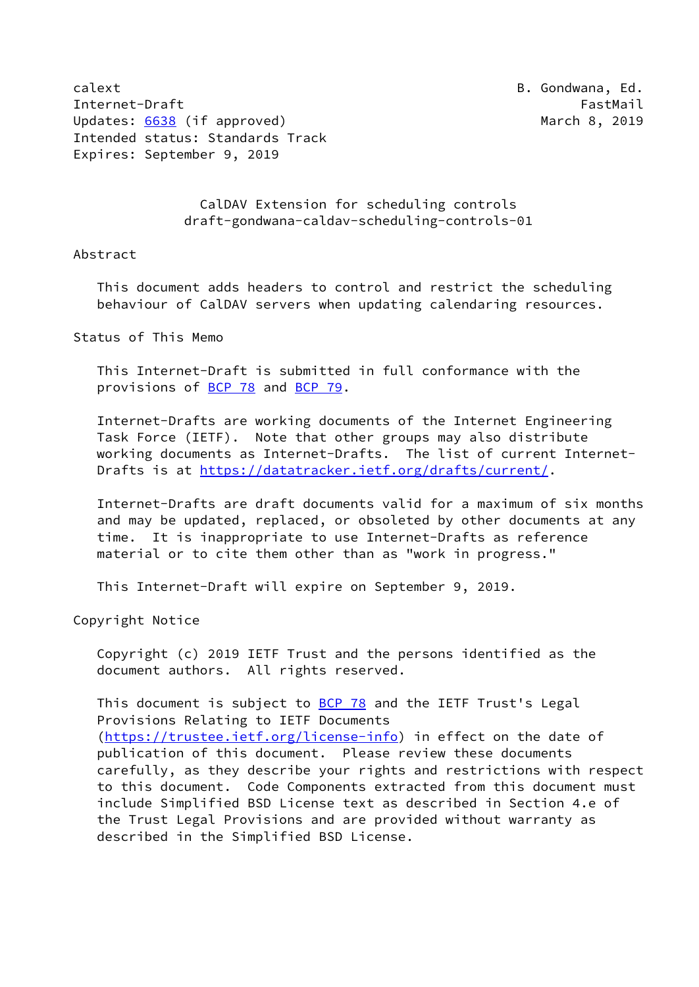calext **B.** Gondwana, Ed. Internet-Draft FastMail FastMail FastMail Updates: [6638](https://datatracker.ietf.org/doc/pdf/rfc6638) (if approved) and the march 8, 2019 Intended status: Standards Track Expires: September 9, 2019

## CalDAV Extension for scheduling controls draft-gondwana-caldav-scheduling-controls-01

#### Abstract

 This document adds headers to control and restrict the scheduling behaviour of CalDAV servers when updating calendaring resources.

Status of This Memo

 This Internet-Draft is submitted in full conformance with the provisions of [BCP 78](https://datatracker.ietf.org/doc/pdf/bcp78) and [BCP 79](https://datatracker.ietf.org/doc/pdf/bcp79).

 Internet-Drafts are working documents of the Internet Engineering Task Force (IETF). Note that other groups may also distribute working documents as Internet-Drafts. The list of current Internet- Drafts is at<https://datatracker.ietf.org/drafts/current/>.

 Internet-Drafts are draft documents valid for a maximum of six months and may be updated, replaced, or obsoleted by other documents at any time. It is inappropriate to use Internet-Drafts as reference material or to cite them other than as "work in progress."

This Internet-Draft will expire on September 9, 2019.

Copyright Notice

 Copyright (c) 2019 IETF Trust and the persons identified as the document authors. All rights reserved.

This document is subject to **[BCP 78](https://datatracker.ietf.org/doc/pdf/bcp78)** and the IETF Trust's Legal Provisions Relating to IETF Documents [\(https://trustee.ietf.org/license-info](https://trustee.ietf.org/license-info)) in effect on the date of publication of this document. Please review these documents carefully, as they describe your rights and restrictions with respect to this document. Code Components extracted from this document must include Simplified BSD License text as described in Section 4.e of the Trust Legal Provisions and are provided without warranty as described in the Simplified BSD License.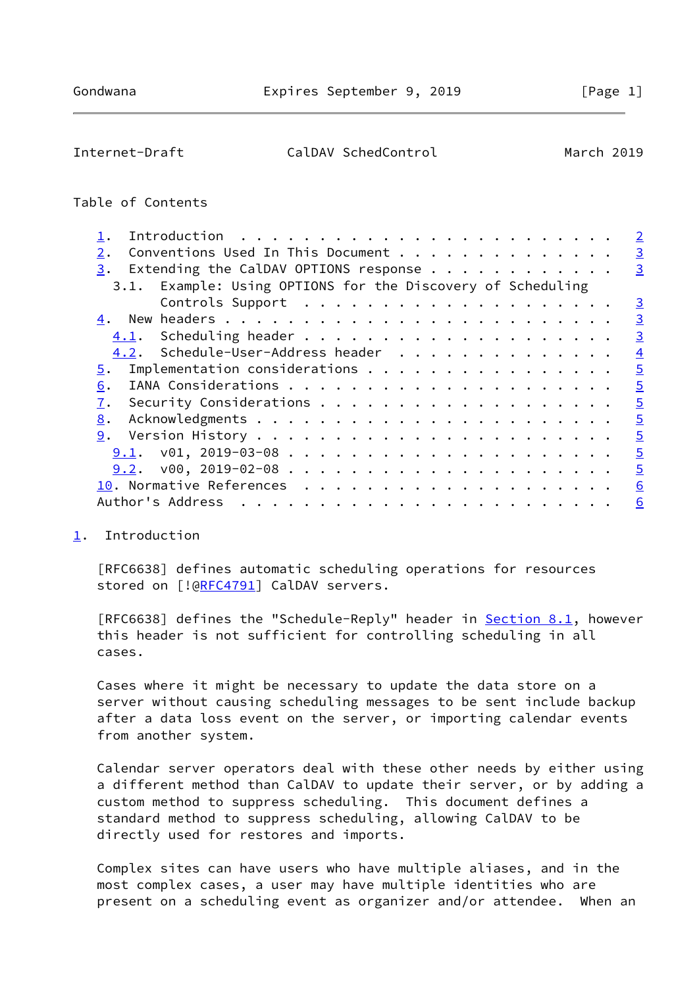<span id="page-1-1"></span>Internet-Draft CalDAV SchedControl March 2019

## Table of Contents

|                                                                                                                 | $\overline{2}$ |
|-----------------------------------------------------------------------------------------------------------------|----------------|
| Conventions Used In This Document<br>2.                                                                         | $\overline{3}$ |
| Extending the CalDAV OPTIONS response $\cdot \cdot \cdot \cdot \cdot \cdot \cdot \cdot \cdot \cdot \cdot$<br>3. | $\overline{3}$ |
| 3.1. Example: Using OPTIONS for the Discovery of Scheduling                                                     |                |
|                                                                                                                 | $\overline{3}$ |
|                                                                                                                 | $\overline{3}$ |
|                                                                                                                 | $\overline{3}$ |
| 4.2. Schedule-User-Address header                                                                               | $\overline{4}$ |
| Implementation considerations<br>5.                                                                             | $\overline{5}$ |
| 6.                                                                                                              | $\overline{5}$ |
| 7.                                                                                                              | $\overline{5}$ |
| 8.                                                                                                              | $\overline{5}$ |
| 9.                                                                                                              | $\overline{5}$ |
| 9.1.                                                                                                            | $\overline{5}$ |
|                                                                                                                 | $\overline{5}$ |
|                                                                                                                 | 6              |
| Author's Address                                                                                                | 6              |
|                                                                                                                 |                |

### <span id="page-1-0"></span>[1](#page-1-0). Introduction

 [RFC6638] defines automatic scheduling operations for resources stored on [![@RFC4791](https://datatracker.ietf.org/doc/pdf/rfc4791)] CalDAV servers.

[RFC6638] defines the "Schedule-Reply" header in **Section 8.1**, however this header is not sufficient for controlling scheduling in all cases.

 Cases where it might be necessary to update the data store on a server without causing scheduling messages to be sent include backup after a data loss event on the server, or importing calendar events from another system.

 Calendar server operators deal with these other needs by either using a different method than CalDAV to update their server, or by adding a custom method to suppress scheduling. This document defines a standard method to suppress scheduling, allowing CalDAV to be directly used for restores and imports.

 Complex sites can have users who have multiple aliases, and in the most complex cases, a user may have multiple identities who are present on a scheduling event as organizer and/or attendee. When an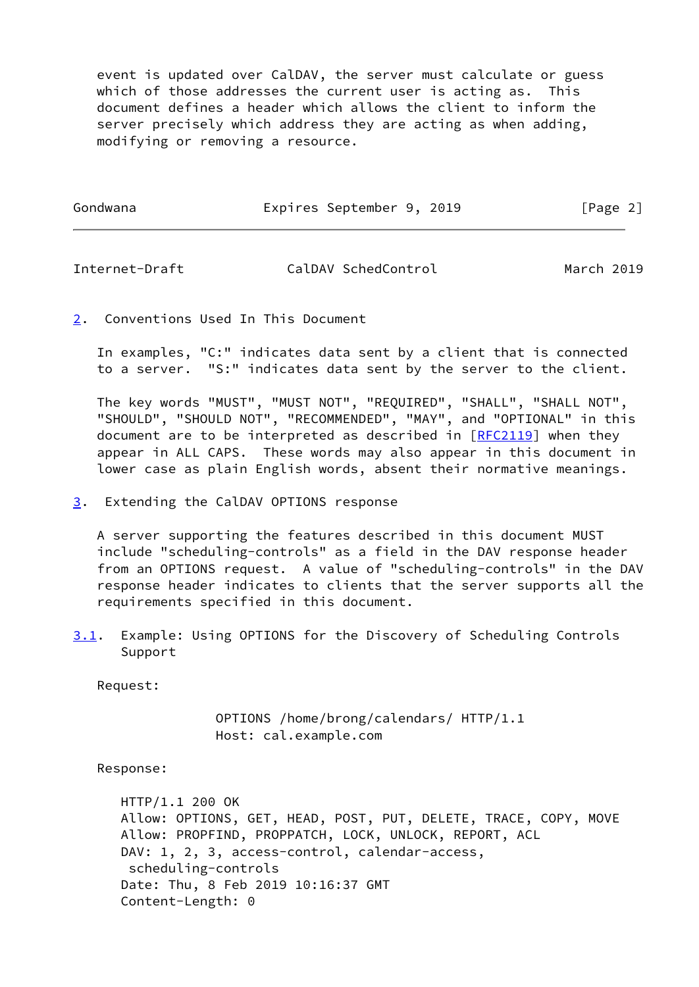event is updated over CalDAV, the server must calculate or guess which of those addresses the current user is acting as. This document defines a header which allows the client to inform the server precisely which address they are acting as when adding, modifying or removing a resource.

Gondwana **Expires September 9, 2019** [Page 2]

<span id="page-2-1"></span>Internet-Draft CalDAV SchedControl March 2019

<span id="page-2-0"></span>[2](#page-2-0). Conventions Used In This Document

 In examples, "C:" indicates data sent by a client that is connected to a server. "S:" indicates data sent by the server to the client.

 The key words "MUST", "MUST NOT", "REQUIRED", "SHALL", "SHALL NOT", "SHOULD", "SHOULD NOT", "RECOMMENDED", "MAY", and "OPTIONAL" in this document are to be interpreted as described in  $[REC2119]$  when they appear in ALL CAPS. These words may also appear in this document in lower case as plain English words, absent their normative meanings.

<span id="page-2-2"></span>[3](#page-2-2). Extending the CalDAV OPTIONS response

 A server supporting the features described in this document MUST include "scheduling-controls" as a field in the DAV response header from an OPTIONS request. A value of "scheduling-controls" in the DAV response header indicates to clients that the server supports all the requirements specified in this document.

<span id="page-2-3"></span>[3.1](#page-2-3). Example: Using OPTIONS for the Discovery of Scheduling Controls Support

Request:

 OPTIONS /home/brong/calendars/ HTTP/1.1 Host: cal.example.com

Response:

 HTTP/1.1 200 OK Allow: OPTIONS, GET, HEAD, POST, PUT, DELETE, TRACE, COPY, MOVE Allow: PROPFIND, PROPPATCH, LOCK, UNLOCK, REPORT, ACL DAV: 1, 2, 3, access-control, calendar-access, scheduling-controls Date: Thu, 8 Feb 2019 10:16:37 GMT Content-Length: 0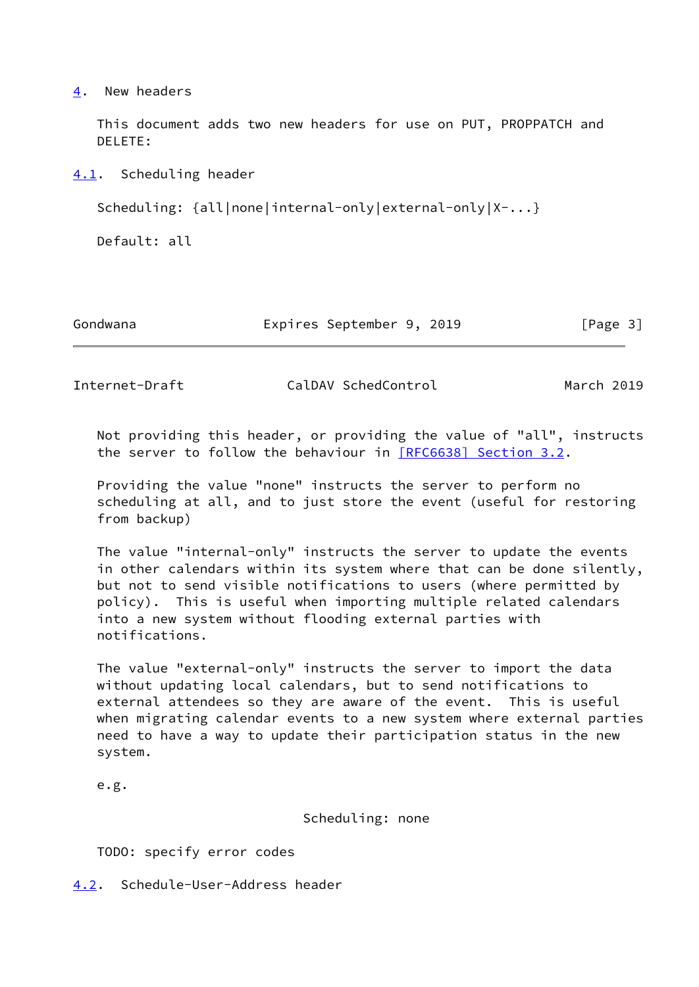## <span id="page-3-0"></span>[4](#page-3-0). New headers

 This document adds two new headers for use on PUT, PROPPATCH and DELETE:

<span id="page-3-1"></span>[4.1](#page-3-1). Scheduling header

Scheduling: {all|none|internal-only|external-only|X-...}

Default: all

Gondwana **Expires September 9, 2019** [Page 3]

<span id="page-3-3"></span>

Internet-Draft CalDAV SchedControl March 2019

 Not providing this header, or providing the value of "all", instructs the server to follow the behaviour in [\[RFC6638\] Section](https://datatracker.ietf.org/doc/pdf/rfc6638#section-3.2) 3.2.

 Providing the value "none" instructs the server to perform no scheduling at all, and to just store the event (useful for restoring from backup)

 The value "internal-only" instructs the server to update the events in other calendars within its system where that can be done silently, but not to send visible notifications to users (where permitted by policy). This is useful when importing multiple related calendars into a new system without flooding external parties with notifications.

 The value "external-only" instructs the server to import the data without updating local calendars, but to send notifications to external attendees so they are aware of the event. This is useful when migrating calendar events to a new system where external parties need to have a way to update their participation status in the new system.

e.g.

Scheduling: none

TODO: specify error codes

<span id="page-3-2"></span>[4.2](#page-3-2). Schedule-User-Address header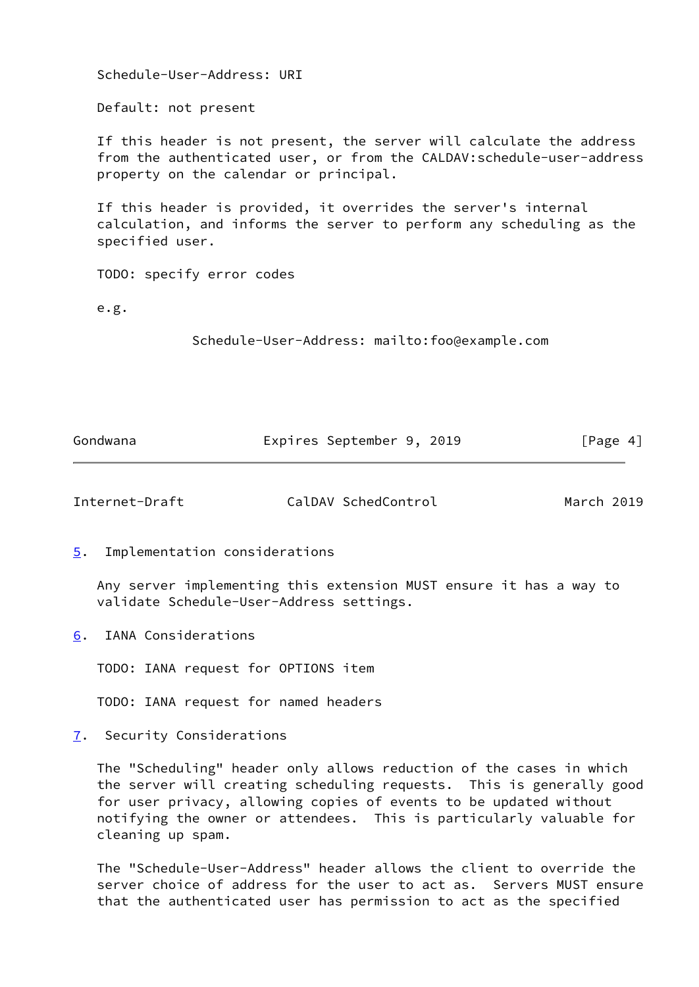| Gondwana                                                                                                                                                  | Expires September 9, 2019                                                                                                                                                                | [Page $4$ ] |  |
|-----------------------------------------------------------------------------------------------------------------------------------------------------------|------------------------------------------------------------------------------------------------------------------------------------------------------------------------------------------|-------------|--|
|                                                                                                                                                           | Schedule-User-Address: mailto:foo@example.com                                                                                                                                            |             |  |
| e.g.                                                                                                                                                      |                                                                                                                                                                                          |             |  |
|                                                                                                                                                           | TODO: specify error codes                                                                                                                                                                |             |  |
| If this header is provided, it overrides the server's internal<br>calculation, and informs the server to perform any scheduling as the<br>specified user. |                                                                                                                                                                                          |             |  |
|                                                                                                                                                           | If this header is not present, the server will calculate the address<br>from the authenticated user, or from the CALDAV: schedule-user-address<br>property on the calendar or principal. |             |  |
| Default: not present                                                                                                                                      |                                                                                                                                                                                          |             |  |
|                                                                                                                                                           | Schedule-User-Address: URI                                                                                                                                                               |             |  |

<span id="page-4-1"></span>Internet-Draft CalDAV SchedControl March 2019

<span id="page-4-0"></span>[5](#page-4-0). Implementation considerations

 Any server implementing this extension MUST ensure it has a way to validate Schedule-User-Address settings.

<span id="page-4-2"></span>[6](#page-4-2). IANA Considerations

TODO: IANA request for OPTIONS item

TODO: IANA request for named headers

<span id="page-4-3"></span>[7](#page-4-3). Security Considerations

 The "Scheduling" header only allows reduction of the cases in which the server will creating scheduling requests. This is generally good for user privacy, allowing copies of events to be updated without notifying the owner or attendees. This is particularly valuable for cleaning up spam.

 The "Schedule-User-Address" header allows the client to override the server choice of address for the user to act as. Servers MUST ensure that the authenticated user has permission to act as the specified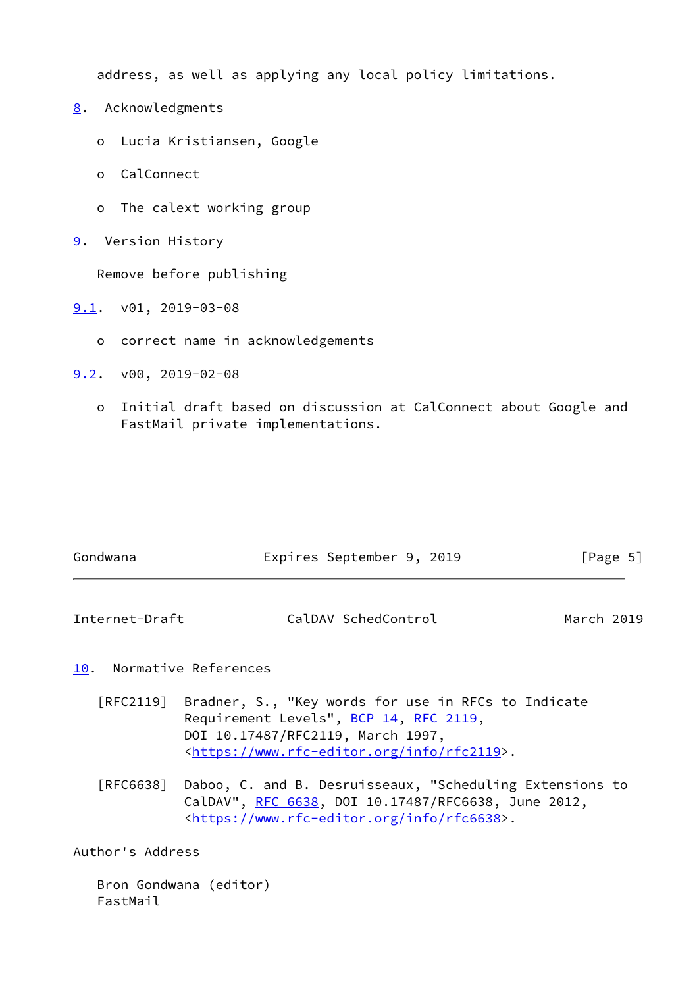address, as well as applying any local policy limitations.

- <span id="page-5-0"></span>[8](#page-5-0). Acknowledgments
	- o Lucia Kristiansen, Google
	- o CalConnect
	- o The calext working group
- <span id="page-5-1"></span>[9](#page-5-1). Version History

Remove before publishing

- <span id="page-5-2"></span>[9.1](#page-5-2). v01, 2019-03-08
	- o correct name in acknowledgements
- <span id="page-5-3"></span>[9.2](#page-5-3). v00, 2019-02-08
	- o Initial draft based on discussion at CalConnect about Google and FastMail private implementations.

| Gondwana | Expires September 9, 2019 |  | [Page 5] |  |
|----------|---------------------------|--|----------|--|
|          |                           |  |          |  |

<span id="page-5-5"></span>

| Internet-Draft | CalDAV SchedControl | March 2019 |
|----------------|---------------------|------------|
|----------------|---------------------|------------|

# <span id="page-5-4"></span>[10.](#page-5-4) Normative References

- [RFC2119] Bradner, S., "Key words for use in RFCs to Indicate Requirement Levels", [BCP 14](https://datatracker.ietf.org/doc/pdf/bcp14), [RFC 2119](https://datatracker.ietf.org/doc/pdf/rfc2119), DOI 10.17487/RFC2119, March 1997, <[https://www.rfc-editor.org/info/rfc2119>](https://www.rfc-editor.org/info/rfc2119).
- [RFC6638] Daboo, C. and B. Desruisseaux, "Scheduling Extensions to CalDAV", [RFC 6638,](https://datatracker.ietf.org/doc/pdf/rfc6638) DOI 10.17487/RFC6638, June 2012, <[https://www.rfc-editor.org/info/rfc6638>](https://www.rfc-editor.org/info/rfc6638).

Author's Address

 Bron Gondwana (editor) FastMail